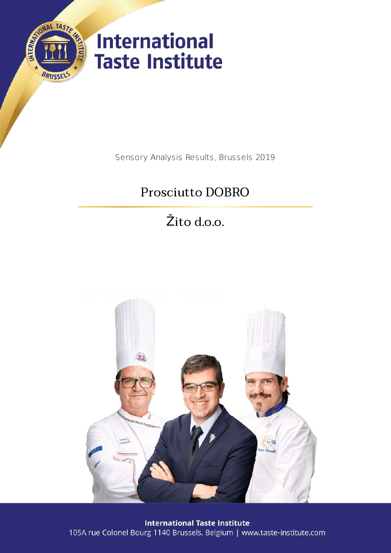

Sensory Analysis Results, Brussels 2019

# Prosciutto DOBRO

Žito d.o.o.



**International Taste Institute** 105A rue Colonel Bourg 1140 Brussels, Belgium | www.taste-institute.com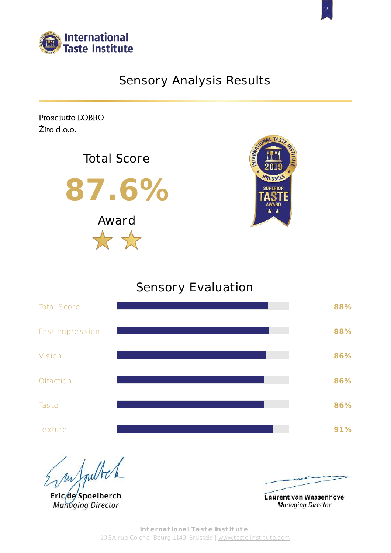

## Sensory Analysis Results

Prosciutto DOBRO Žito d.o.o.





## Sensory Evaluation



Empulled

Eric<sub>de</sub>Spoelberch **Managing Director** 



Laurent van Wassenhove **Managing Director**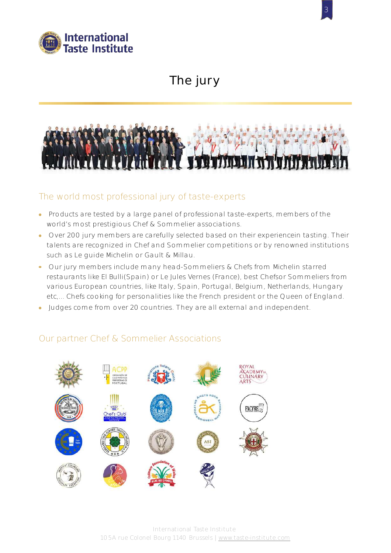

## The jury

3



## The world most professional jury of taste-experts

- Products are tested by a large panel of professional taste-experts, members of the world's most prestigious Chef & Sommelier associations.
- Over 200 jury members are carefully selected based on their experiencein tasting. Their talents are recognized in Chef and Sommelier competitions or by renowned institutions such as Le guide Michelin or Gault & Millau.
- Our jury members include many head-Sommeliers & Chefs from Michelin starred restaurants like El Bulli(Spain) or Le Jules Vernes (France), best Chefsor Sommeliers from various European countries, like Italy, Spain, Portugal, Belgium, Netherlands, Hungary etc,... Chefs cooking for personalities like the French president or the Queen of England.
- Judges come from over 20 countries. They are all external and independent.

## Our partner Chef & Sommelier Associations

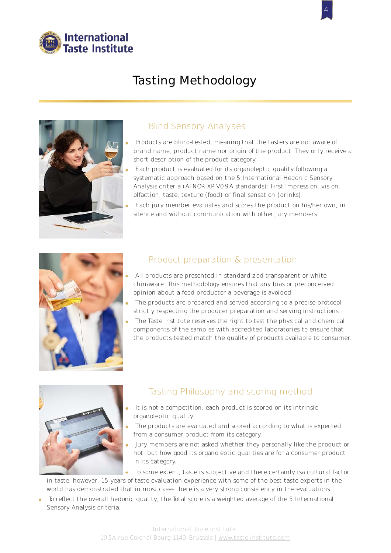

## Tasting Methodology



### Blind Sensory Analyses

Products are blind-tested, meaning that the tasters are not aware of brand name, product name nor origin of the product. They only receive a short description of the product category.

4

- Each product is evaluated for its organoleptic quality following a systematic approach based on the 5 International Hedonic Sensory Analysis criteria (AFNOR XP V09A standards): First Impression, vision, olfaction, taste, texture (food) or final sensation (drinks).
- Each jury member evaluates and scores the product on his/her own, in silence and without communication with other jury members.



## Product preparation & presentation

- All products are presented in standardized transparent or white chinaware. This methodology ensures that any bias or preconceived opinion about a food productor a beverage is avoided.
- The products are prepared and served according to a precise protocol strictly respecting the producer preparation and serving instructions.
- The Taste Institute reserves the right to test the physical and chemical components of the samples with accredited laboratories to ensure that the products tested match the quality of products available to consumer.



## Tasting Philosophy and scoring method

- It is not a competition: each product is scored on its intrinsic organoleptic quality.
- The products are evaluated and scored according to what is expected from a consumer product from its category.
- Jury members are not asked whether they personally like the product or not, but how good its organoleptic qualities are for a consumer product in its category.

To some extent, taste is subjective and there certainly isa cultural factor

in taste; however, 15 years of taste evaluation experience with some of the best taste experts in the world has demonstrated that in most cases there is a very strong consistency in the evaluations.

To reflect the overall hedonic quality, the Total score is a weighted average of the 5 International Sensory Analysis criteria.